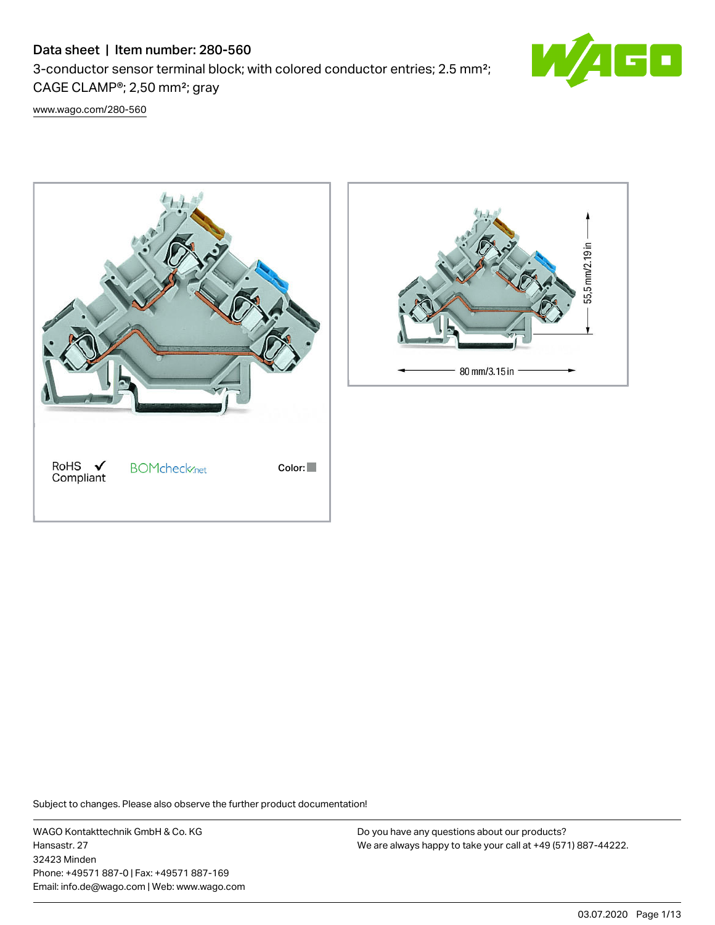## Data sheet | Item number: 280-560

3-conductor sensor terminal block; with colored conductor entries; 2.5 mm²; CAGE CLAMP®; 2,50 mm²; gray



[www.wago.com/280-560](http://www.wago.com/280-560)





Subject to changes. Please also observe the further product documentation!

WAGO Kontakttechnik GmbH & Co. KG Hansastr. 27 32423 Minden Phone: +49571 887-0 | Fax: +49571 887-169 Email: info.de@wago.com | Web: www.wago.com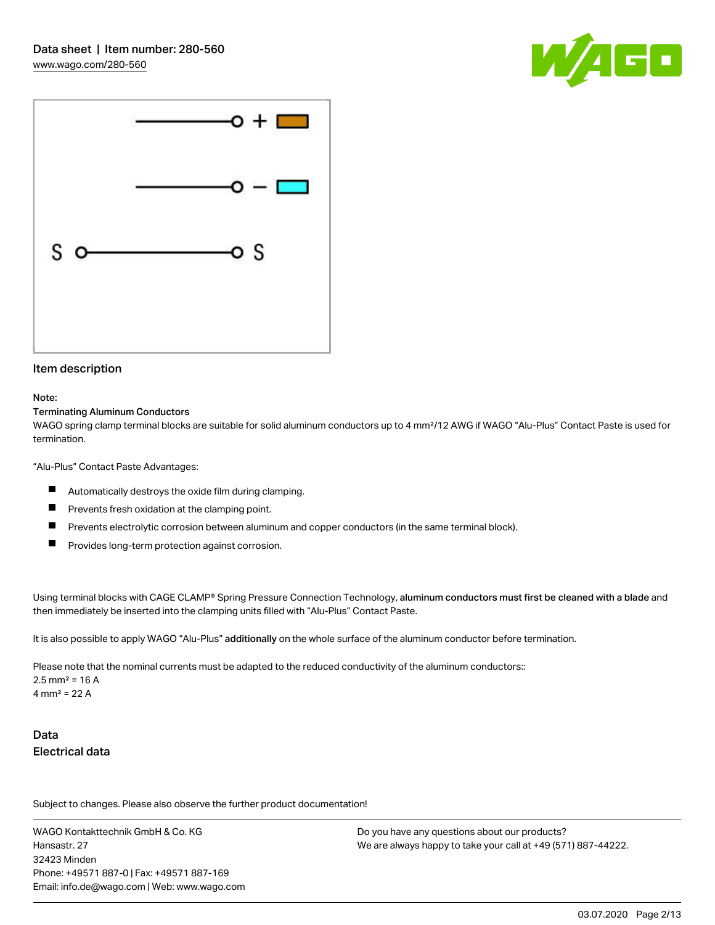



## Item description

#### Note:

### Terminating Aluminum Conductors

WAGO spring clamp terminal blocks are suitable for solid aluminum conductors up to 4 mm²/12 AWG if WAGO "Alu-Plus" Contact Paste is used for termination.

"Alu-Plus" Contact Paste Advantages:

- $\blacksquare$ Automatically destroys the oxide film during clamping.
- П Prevents fresh oxidation at the clamping point.
- П Prevents electrolytic corrosion between aluminum and copper conductors (in the same terminal block).
- П Provides long-term protection against corrosion.

Using terminal blocks with CAGE CLAMP® Spring Pressure Connection Technology, aluminum conductors must first be cleaned with a blade and then immediately be inserted into the clamping units filled with "Alu-Plus" Contact Paste.

It is also possible to apply WAGO "Alu-Plus" additionally on the whole surface of the aluminum conductor before termination.

Please note that the nominal currents must be adapted to the reduced conductivity of the aluminum conductors::  $2.5$  mm<sup>2</sup> = 16 A 4 mm<sup>2</sup> = 22 A

## Data Electrical data

Subject to changes. Please also observe the further product documentation!

WAGO Kontakttechnik GmbH & Co. KG Hansastr. 27 32423 Minden Phone: +49571 887-0 | Fax: +49571 887-169 Email: info.de@wago.com | Web: www.wago.com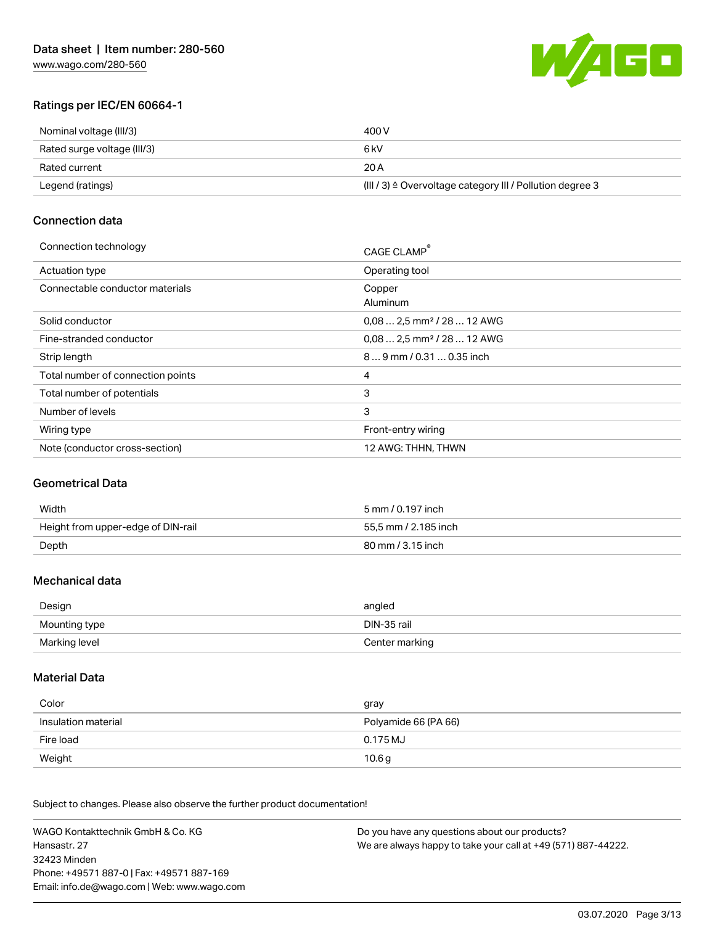

## Ratings per IEC/EN 60664-1

| Nominal voltage (III/3)     | 400 V                                                                 |
|-----------------------------|-----------------------------------------------------------------------|
| Rated surge voltage (III/3) | 6 kV                                                                  |
| Rated current               | 20 A                                                                  |
| Legend (ratings)            | $(III / 3)$ $\triangle$ Overvoltage category III / Pollution degree 3 |

## Connection data

#### Connection technology CAGE CLAMP®

|                                   | CAGE CLAMP                             |
|-----------------------------------|----------------------------------------|
| <b>Actuation type</b>             | Operating tool                         |
| Connectable conductor materials   | Copper<br>Aluminum                     |
| Solid conductor                   | $0.082.5$ mm <sup>2</sup> / 28  12 AWG |
| Fine-stranded conductor           | $0.082.5$ mm <sup>2</sup> / 28  12 AWG |
| Strip length                      | 89 mm / 0.31  0.35 inch                |
| Total number of connection points | 4                                      |
| Total number of potentials        | 3                                      |
| Number of levels                  | 3                                      |
| Wiring type                       | Front-entry wiring                     |
| Note (conductor cross-section)    | 12 AWG: THHN, THWN                     |
|                                   |                                        |

## Geometrical Data

| Width                              | 5 mm / 0.197 inch    |
|------------------------------------|----------------------|
| Height from upper-edge of DIN-rail | 55.5 mm / 2.185 inch |
| Depth                              | 80 mm / 3.15 inch    |

## Mechanical data

| Design        | angled         |
|---------------|----------------|
| Mounting type | DIN-35 rail    |
| Marking level | Center marking |

## Material Data

| Color               | gray                 |
|---------------------|----------------------|
| Insulation material | Polyamide 66 (PA 66) |
| Fire load           | 0.175 MJ             |
| Weight              | 10.6g                |

Subject to changes. Please also observe the further product documentation!

WAGO Kontakttechnik GmbH & Co. KG Hansastr. 27 32423 Minden Phone: +49571 887-0 | Fax: +49571 887-169 Email: info.de@wago.com | Web: www.wago.com Do you have any questions about our products? We are always happy to take your call at +49 (571) 887-44222.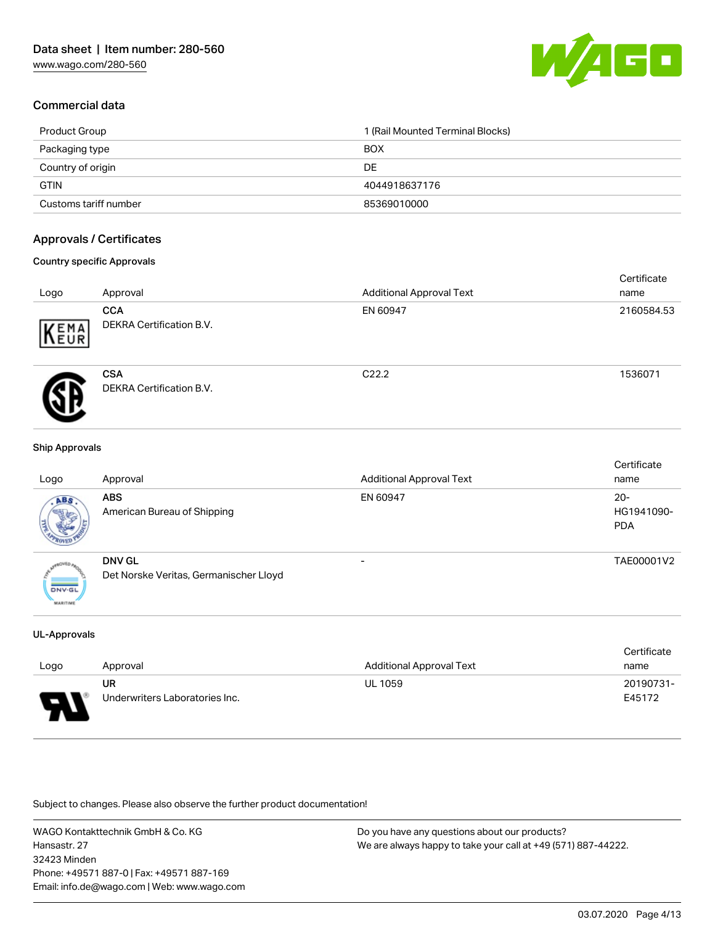

## Commercial data

| Product Group         | 1 (Rail Mounted Terminal Blocks) |
|-----------------------|----------------------------------|
| Packaging type        | <b>BOX</b>                       |
| Country of origin     | DE                               |
| <b>GTIN</b>           | 4044918637176                    |
| Customs tariff number | 85369010000                      |

## Approvals / Certificates

### Country specific Approvals

| Logo | Approval                                      | <b>Additional Approval Text</b> | Certificate<br>name |
|------|-----------------------------------------------|---------------------------------|---------------------|
| EMA  | <b>CCA</b><br><b>DEKRA Certification B.V.</b> | EN 60947                        | 2160584.53          |
|      | <b>CSA</b><br><b>DEKRA Certification B.V.</b> | C <sub>22.2</sub>               | 1536071             |

#### Ship Approvals

| Logo                             | Approval                                                | <b>Additional Approval Text</b> | Certificate<br>name                |
|----------------------------------|---------------------------------------------------------|---------------------------------|------------------------------------|
| ABS.                             | <b>ABS</b><br>American Bureau of Shipping               | EN 60947                        | $20 -$<br>HG1941090-<br><b>PDA</b> |
| <b>DNV-GL</b><br><b>MARITIME</b> | <b>DNV GL</b><br>Det Norske Veritas, Germanischer Lloyd |                                 | TAE00001V2                         |

#### UL-Approvals

|      |                                |                                 | Certificate |
|------|--------------------------------|---------------------------------|-------------|
| Logo | Approval                       | <b>Additional Approval Text</b> | name        |
|      | UR                             | <b>UL 1059</b>                  | 20190731-   |
| ſ    | Underwriters Laboratories Inc. |                                 | E45172      |

Subject to changes. Please also observe the further product documentation!

WAGO Kontakttechnik GmbH & Co. KG Hansastr. 27 32423 Minden Phone: +49571 887-0 | Fax: +49571 887-169 Email: info.de@wago.com | Web: www.wago.com

Do you have any questions about our products? We are always happy to take your call at +49 (571) 887-44222.

Certificate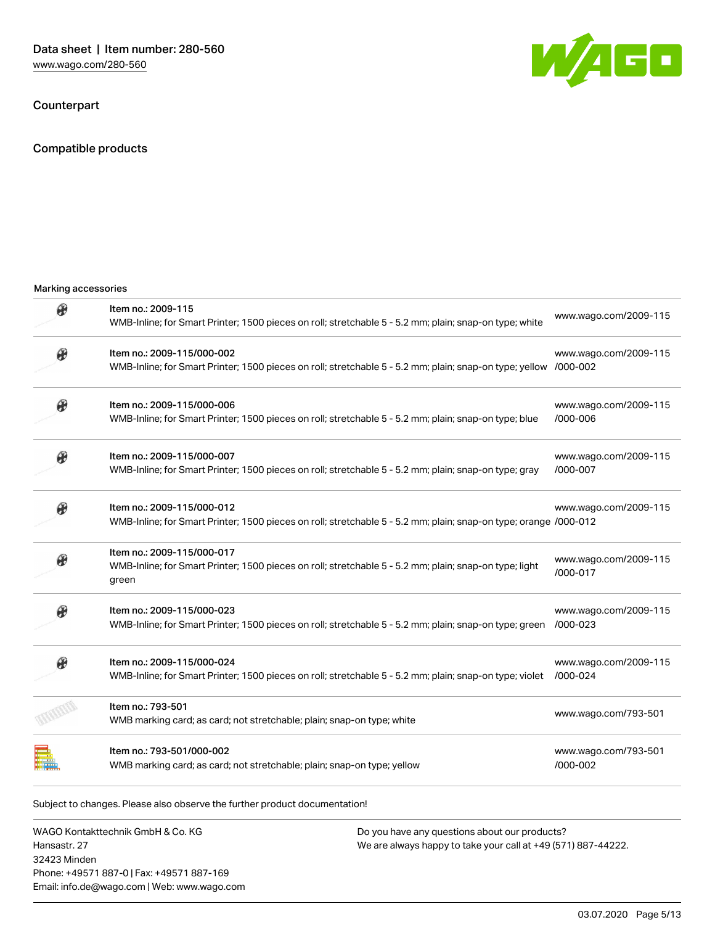Counterpart

Compatible products

Marking accessories



| R | Item no.: 2009-115<br>WMB-Inline; for Smart Printer; 1500 pieces on roll; stretchable 5 - 5.2 mm; plain; snap-on type; white                   | www.wago.com/2009-115                 |
|---|------------------------------------------------------------------------------------------------------------------------------------------------|---------------------------------------|
|   | Item no.: 2009-115/000-002<br>WMB-Inline; for Smart Printer; 1500 pieces on roll; stretchable 5 - 5.2 mm; plain; snap-on type; yellow /000-002 | www.wago.com/2009-115                 |
|   | Item no.: 2009-115/000-006<br>WMB-Inline; for Smart Printer; 1500 pieces on roll; stretchable 5 - 5.2 mm; plain; snap-on type; blue            | www.wago.com/2009-115<br>/000-006     |
|   | Item no.: 2009-115/000-007<br>WMB-Inline; for Smart Printer; 1500 pieces on roll; stretchable 5 - 5.2 mm; plain; snap-on type; gray            | www.wago.com/2009-115<br>/000-007     |
|   | Item no.: 2009-115/000-012<br>WMB-Inline; for Smart Printer; 1500 pieces on roll; stretchable 5 - 5.2 mm; plain; snap-on type; orange /000-012 | www.wago.com/2009-115                 |
|   | Item no.: 2009-115/000-017<br>WMB-Inline; for Smart Printer; 1500 pieces on roll; stretchable 5 - 5.2 mm; plain; snap-on type; light<br>green  | www.wago.com/2009-115<br>/000-017     |
|   | Item no.: 2009-115/000-023<br>WMB-Inline; for Smart Printer; 1500 pieces on roll; stretchable 5 - 5.2 mm; plain; snap-on type; green           | www.wago.com/2009-115<br>$/000 - 023$ |
|   | Item no.: 2009-115/000-024<br>WMB-Inline; for Smart Printer; 1500 pieces on roll; stretchable 5 - 5.2 mm; plain; snap-on type; violet          | www.wago.com/2009-115<br>/000-024     |
|   | Item no.: 793-501<br>WMB marking card; as card; not stretchable; plain; snap-on type; white                                                    | www.wago.com/793-501                  |
|   | Item no.: 793-501/000-002<br>WMB marking card; as card; not stretchable; plain; snap-on type; yellow                                           | www.wago.com/793-501<br>/000-002      |

Subject to changes. Please also observe the further product documentation!

WAGO Kontakttechnik GmbH & Co. KG Hansastr. 27 32423 Minden Phone: +49571 887-0 | Fax: +49571 887-169 Email: info.de@wago.com | Web: www.wago.com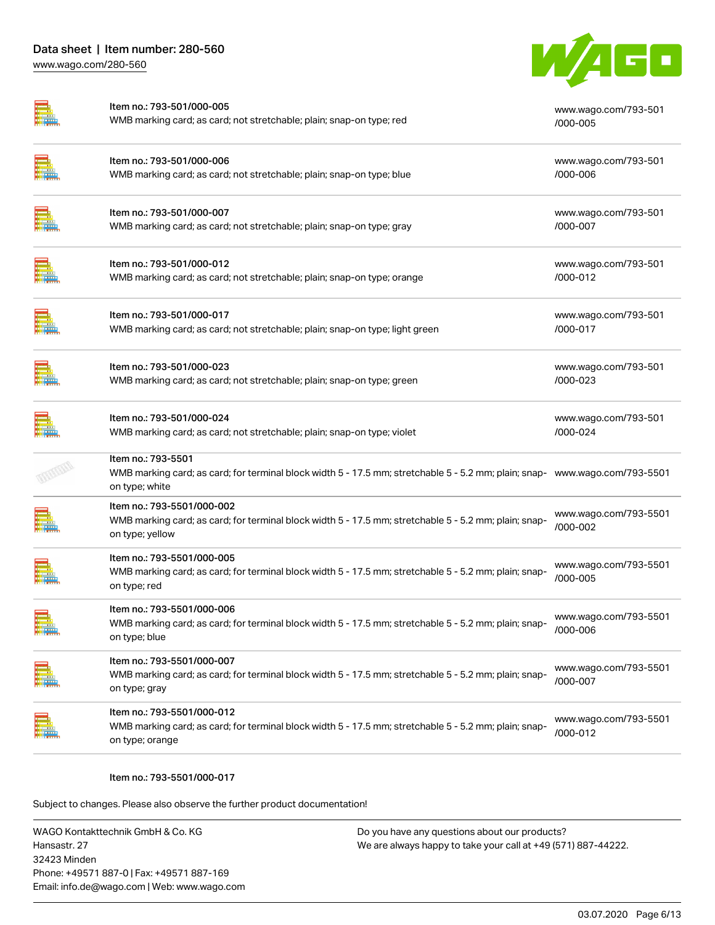

|               | Item no.: 793-501/000-005<br>WMB marking card; as card; not stretchable; plain; snap-on type; red                                                                   | www.wago.com/793-501<br>/000-005  |
|---------------|---------------------------------------------------------------------------------------------------------------------------------------------------------------------|-----------------------------------|
|               | Item no.: 793-501/000-006<br>WMB marking card; as card; not stretchable; plain; snap-on type; blue                                                                  | www.wago.com/793-501<br>/000-006  |
|               | Item no.: 793-501/000-007<br>WMB marking card; as card; not stretchable; plain; snap-on type; gray                                                                  | www.wago.com/793-501<br>/000-007  |
|               | Item no.: 793-501/000-012<br>WMB marking card; as card; not stretchable; plain; snap-on type; orange                                                                | www.wago.com/793-501<br>/000-012  |
|               | Item no.: 793-501/000-017<br>WMB marking card; as card; not stretchable; plain; snap-on type; light green                                                           | www.wago.com/793-501<br>/000-017  |
|               | Item no.: 793-501/000-023<br>WMB marking card; as card; not stretchable; plain; snap-on type; green                                                                 | www.wago.com/793-501<br>/000-023  |
|               | Item no.: 793-501/000-024<br>WMB marking card; as card; not stretchable; plain; snap-on type; violet                                                                | www.wago.com/793-501<br>/000-024  |
|               | Item no.: 793-5501<br>WMB marking card; as card; for terminal block width 5 - 17.5 mm; stretchable 5 - 5.2 mm; plain; snap- www.wago.com/793-5501<br>on type; white |                                   |
|               | Item no.: 793-5501/000-002<br>WMB marking card; as card; for terminal block width 5 - 17.5 mm; stretchable 5 - 5.2 mm; plain; snap-<br>on type; yellow              | www.wago.com/793-5501<br>/000-002 |
|               | Item no.: 793-5501/000-005<br>WMB marking card; as card; for terminal block width 5 - 17.5 mm; stretchable 5 - 5.2 mm; plain; snap-<br>on type; red                 | www.wago.com/793-5501<br>/000-005 |
| <b>REGION</b> | Item no.: 793-5501/000-006<br>WMB marking card; as card; for terminal block width 5 - 17.5 mm; stretchable 5 - 5.2 mm: plain: snap-<br>on type; blue                | www.wago.com/793-5501<br>/000-006 |
|               | Item no.: 793-5501/000-007<br>WMB marking card; as card; for terminal block width 5 - 17.5 mm; stretchable 5 - 5.2 mm; plain; snap-<br>on type; gray                | www.wago.com/793-5501<br>/000-007 |
|               | Item no.: 793-5501/000-012<br>WMB marking card; as card; for terminal block width 5 - 17.5 mm; stretchable 5 - 5.2 mm; plain; snap-<br>on type; orange              | www.wago.com/793-5501<br>/000-012 |
|               |                                                                                                                                                                     |                                   |

### Item no.: 793-5501/000-017

Subject to changes. Please also observe the further product documentation!

WAGO Kontakttechnik GmbH & Co. KG Hansastr. 27 32423 Minden Phone: +49571 887-0 | Fax: +49571 887-169 Email: info.de@wago.com | Web: www.wago.com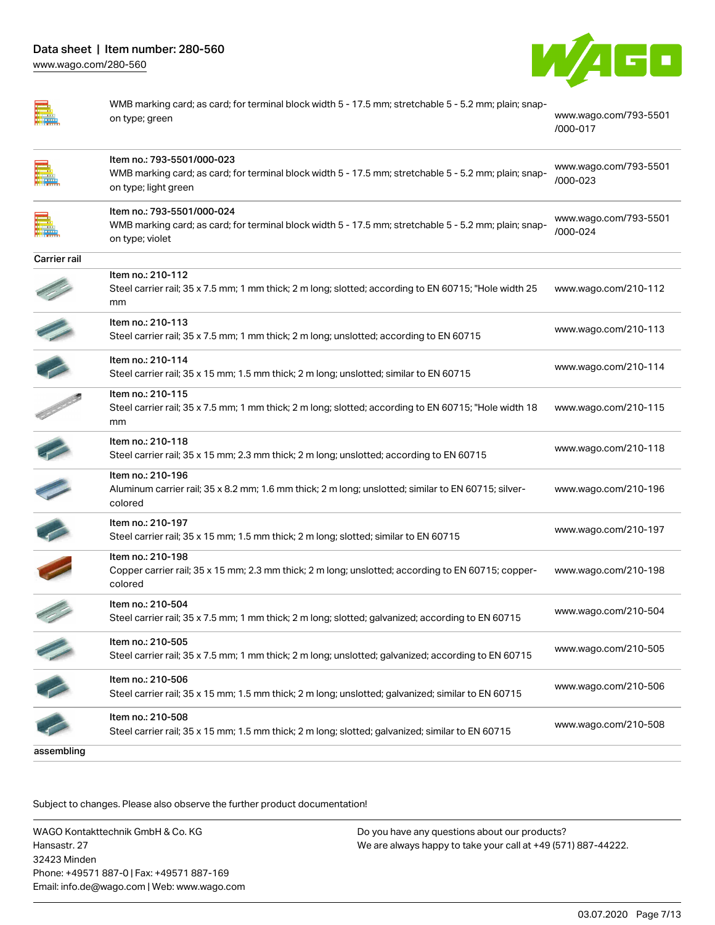

|  | ٦ |   |  |
|--|---|---|--|
|  |   |   |  |
|  |   | ٦ |  |
|  |   |   |  |
|  |   |   |  |
|  |   |   |  |

|                  | WMB marking card; as card; for terminal block width 5 - 17.5 mm; stretchable 5 - 5.2 mm; plain; snap-<br>on type; green                                     | www.wago.com/793-5501<br>/000-017 |  |
|------------------|-------------------------------------------------------------------------------------------------------------------------------------------------------------|-----------------------------------|--|
|                  | Item no.: 793-5501/000-023<br>WMB marking card; as card; for terminal block width 5 - 17.5 mm; stretchable 5 - 5.2 mm; plain; snap-<br>on type; light green | www.wago.com/793-5501<br>/000-023 |  |
|                  | Item no.: 793-5501/000-024<br>WMB marking card; as card; for terminal block width 5 - 17.5 mm; stretchable 5 - 5.2 mm; plain; snap-<br>on type; violet      | www.wago.com/793-5501<br>/000-024 |  |
| Carrier rail     |                                                                                                                                                             |                                   |  |
|                  | Item no.: 210-112<br>Steel carrier rail; 35 x 7.5 mm; 1 mm thick; 2 m long; slotted; according to EN 60715; "Hole width 25<br>mm                            | www.wago.com/210-112              |  |
|                  | Item no.: 210-113<br>Steel carrier rail; 35 x 7.5 mm; 1 mm thick; 2 m long; unslotted; according to EN 60715                                                | www.wago.com/210-113              |  |
|                  | Item no.: 210-114<br>Steel carrier rail; 35 x 15 mm; 1.5 mm thick; 2 m long; unslotted; similar to EN 60715                                                 | www.wago.com/210-114              |  |
| <b>CONTINUES</b> | Item no.: 210-115<br>Steel carrier rail; 35 x 7.5 mm; 1 mm thick; 2 m long; slotted; according to EN 60715; "Hole width 18<br>mm                            | www.wago.com/210-115              |  |
|                  | Item no.: 210-118<br>Steel carrier rail; 35 x 15 mm; 2.3 mm thick; 2 m long; unslotted; according to EN 60715                                               | www.wago.com/210-118              |  |
|                  | Item no.: 210-196<br>Aluminum carrier rail; 35 x 8.2 mm; 1.6 mm thick; 2 m long; unslotted; similar to EN 60715; silver-<br>colored                         | www.wago.com/210-196              |  |
|                  | Item no.: 210-197<br>Steel carrier rail; 35 x 15 mm; 1.5 mm thick; 2 m long; slotted; similar to EN 60715                                                   | www.wago.com/210-197              |  |
|                  | Item no.: 210-198<br>Copper carrier rail; 35 x 15 mm; 2.3 mm thick; 2 m long; unslotted; according to EN 60715; copper-<br>colored                          | www.wago.com/210-198              |  |
|                  | Item no.: 210-504<br>Steel carrier rail; 35 x 7.5 mm; 1 mm thick; 2 m long; slotted; galvanized; according to EN 60715                                      | www.wago.com/210-504              |  |
|                  | Item no.: 210-505<br>Steel carrier rail; 35 x 7.5 mm; 1 mm thick; 2 m long; unslotted; galvanized; according to EN 60715                                    | www.wago.com/210-505              |  |
|                  | Item no.: 210-506<br>Steel carrier rail; 35 x 15 mm; 1.5 mm thick; 2 m long; unslotted; galvanized; similar to EN 60715                                     | www.wago.com/210-506              |  |
|                  | Item no.: 210-508<br>Steel carrier rail; 35 x 15 mm; 1.5 mm thick; 2 m long; slotted; galvanized; similar to EN 60715                                       | www.wago.com/210-508              |  |

assembling

Subject to changes. Please also observe the further product documentation!

WAGO Kontakttechnik GmbH & Co. KG Hansastr. 27 32423 Minden Phone: +49571 887-0 | Fax: +49571 887-169 Email: info.de@wago.com | Web: www.wago.com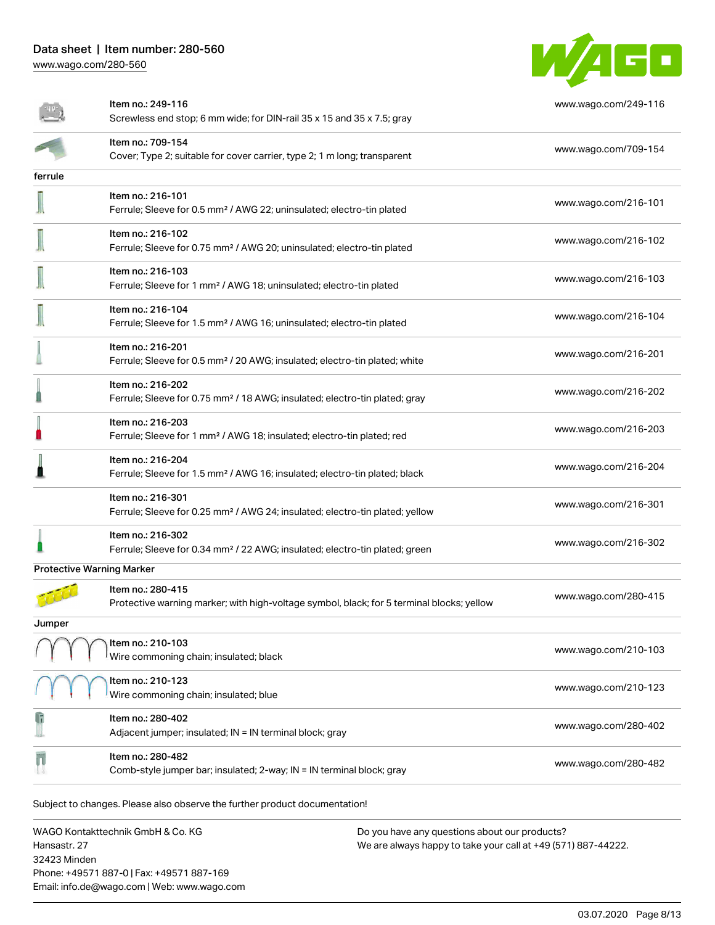

|                                                                            | Item no.: 249-116<br>Screwless end stop; 6 mm wide; for DIN-rail 35 x 15 and 35 x 7.5; gray                    | www.wago.com/249-116 |  |  |
|----------------------------------------------------------------------------|----------------------------------------------------------------------------------------------------------------|----------------------|--|--|
|                                                                            | Item no.: 709-154<br>Cover; Type 2; suitable for cover carrier, type 2; 1 m long; transparent                  | www.wago.com/709-154 |  |  |
| ferrule                                                                    |                                                                                                                |                      |  |  |
|                                                                            | Item no.: 216-101<br>Ferrule; Sleeve for 0.5 mm <sup>2</sup> / AWG 22; uninsulated; electro-tin plated         | www.wago.com/216-101 |  |  |
|                                                                            | Item no.: 216-102<br>Ferrule; Sleeve for 0.75 mm <sup>2</sup> / AWG 20; uninsulated; electro-tin plated        | www.wago.com/216-102 |  |  |
|                                                                            | Item no.: 216-103<br>Ferrule; Sleeve for 1 mm <sup>2</sup> / AWG 18; uninsulated; electro-tin plated           | www.wago.com/216-103 |  |  |
|                                                                            | Item no.: 216-104<br>Ferrule; Sleeve for 1.5 mm <sup>2</sup> / AWG 16; uninsulated; electro-tin plated         | www.wago.com/216-104 |  |  |
|                                                                            | Item no.: 216-201<br>Ferrule; Sleeve for 0.5 mm <sup>2</sup> / 20 AWG; insulated; electro-tin plated; white    | www.wago.com/216-201 |  |  |
|                                                                            | Item no.: 216-202<br>Ferrule; Sleeve for 0.75 mm <sup>2</sup> / 18 AWG; insulated; electro-tin plated; gray    | www.wago.com/216-202 |  |  |
|                                                                            | Item no.: 216-203<br>Ferrule; Sleeve for 1 mm <sup>2</sup> / AWG 18; insulated; electro-tin plated; red        | www.wago.com/216-203 |  |  |
|                                                                            | Item no.: 216-204<br>Ferrule; Sleeve for 1.5 mm <sup>2</sup> / AWG 16; insulated; electro-tin plated; black    | www.wago.com/216-204 |  |  |
|                                                                            | Item no.: 216-301<br>Ferrule; Sleeve for 0.25 mm <sup>2</sup> / AWG 24; insulated; electro-tin plated; yellow  | www.wago.com/216-301 |  |  |
|                                                                            | Item no.: 216-302<br>Ferrule; Sleeve for 0.34 mm <sup>2</sup> / 22 AWG; insulated; electro-tin plated; green   | www.wago.com/216-302 |  |  |
| <b>Protective Warning Marker</b>                                           |                                                                                                                |                      |  |  |
|                                                                            | Item no.: 280-415<br>Protective warning marker; with high-voltage symbol, black; for 5 terminal blocks; yellow | www.wago.com/280-415 |  |  |
| Jumper                                                                     |                                                                                                                |                      |  |  |
|                                                                            | Item no.: 210-103<br>Wire commoning chain; insulated; black                                                    | www.wago.com/210-103 |  |  |
|                                                                            | Item no.: 210-123<br>Wire commoning chain; insulated; blue                                                     | www.wago.com/210-123 |  |  |
|                                                                            | Item no.: 280-402<br>Adjacent jumper; insulated; IN = IN terminal block; gray                                  | www.wago.com/280-402 |  |  |
|                                                                            | Item no.: 280-482<br>Comb-style jumper bar; insulated; 2-way; IN = IN terminal block; gray                     | www.wago.com/280-482 |  |  |
| Subject to changes. Please also observe the further product documentation! |                                                                                                                |                      |  |  |

WAGO Kontakttechnik GmbH & Co. KG Hansastr. 27 32423 Minden Phone: +49571 887-0 | Fax: +49571 887-169 Email: info.de@wago.com | Web: www.wago.com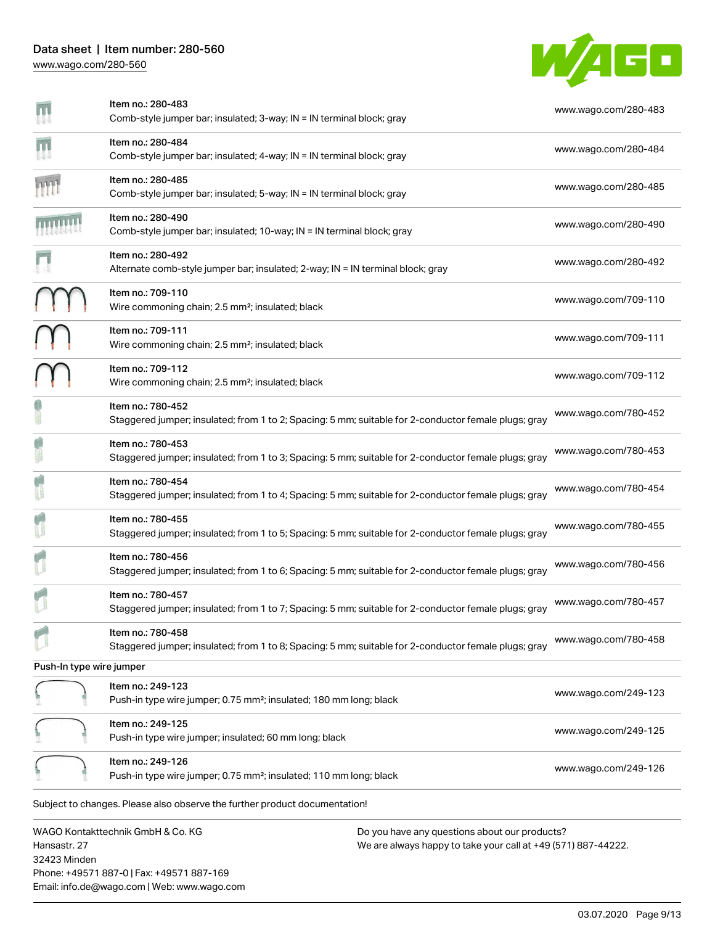## Data sheet | Item number: 280-560 [www.wago.com/280-560](http://www.wago.com/280-560)



|                          | Item no.: 280-483<br>Comb-style jumper bar; insulated; 3-way; IN = IN terminal block; gray                                | www.wago.com/280-483 |
|--------------------------|---------------------------------------------------------------------------------------------------------------------------|----------------------|
|                          | Item no.: 280-484<br>Comb-style jumper bar; insulated; 4-way; IN = IN terminal block; gray                                | www.wago.com/280-484 |
| HH                       | Item no.: 280-485<br>Comb-style jumper bar; insulated; 5-way; IN = IN terminal block; gray                                | www.wago.com/280-485 |
|                          | Item no.: 280-490<br>Comb-style jumper bar; insulated; 10-way; IN = IN terminal block; gray                               | www.wago.com/280-490 |
|                          | Item no.: 280-492<br>Alternate comb-style jumper bar; insulated; 2-way; IN = IN terminal block; gray                      | www.wago.com/280-492 |
|                          | Item no.: 709-110<br>Wire commoning chain; 2.5 mm <sup>2</sup> ; insulated; black                                         | www.wago.com/709-110 |
|                          | Item no.: 709-111<br>Wire commoning chain; 2.5 mm <sup>2</sup> ; insulated; black                                         | www.wago.com/709-111 |
|                          | Item no.: 709-112<br>Wire commoning chain; 2.5 mm <sup>2</sup> ; insulated; black                                         | www.wago.com/709-112 |
|                          | Item no.: 780-452<br>Staggered jumper; insulated; from 1 to 2; Spacing: 5 mm; suitable for 2-conductor female plugs; gray | www.wago.com/780-452 |
|                          | Item no.: 780-453<br>Staggered jumper; insulated; from 1 to 3; Spacing: 5 mm; suitable for 2-conductor female plugs; gray | www.wago.com/780-453 |
|                          | Item no.: 780-454<br>Staggered jumper; insulated; from 1 to 4; Spacing: 5 mm; suitable for 2-conductor female plugs; gray | www.wago.com/780-454 |
|                          | Item no.: 780-455<br>Staggered jumper; insulated; from 1 to 5; Spacing: 5 mm; suitable for 2-conductor female plugs; gray | www.wago.com/780-455 |
|                          | Item no.: 780-456<br>Staggered jumper; insulated; from 1 to 6; Spacing: 5 mm; suitable for 2-conductor female plugs; gray | www.wago.com/780-456 |
|                          | Item no.: 780-457<br>Staggered jumper; insulated; from 1 to 7; Spacing: 5 mm; suitable for 2-conductor female plugs; gray | www.wago.com/780-457 |
|                          | Item no.: 780-458<br>Staggered jumper; insulated; from 1 to 8; Spacing: 5 mm; suitable for 2-conductor female plugs; gray | www.wago.com/780-458 |
| Push-In type wire jumper |                                                                                                                           |                      |
|                          | Item no.: 249-123<br>Push-in type wire jumper; 0.75 mm <sup>2</sup> ; insulated; 180 mm long; black                       | www.wago.com/249-123 |
|                          | Item no.: 249-125<br>Push-in type wire jumper; insulated; 60 mm long; black                                               | www.wago.com/249-125 |
|                          | Item no.: 249-126<br>Push-in type wire jumper; 0.75 mm <sup>2</sup> ; insulated; 110 mm long; black                       | www.wago.com/249-126 |
|                          | Subject to changes. Please also observe the further product documentation!                                                |                      |
|                          | WAGO Kontakttechnik GmbH & Co. KG<br>Do you have any questions about our products?                                        |                      |

Hansastr. 27 32423 Minden Phone: +49571 887-0 | Fax: +49571 887-169 Email: info.de@wago.com | Web: www.wago.com We are always happy to take your call at +49 (571) 887-44222.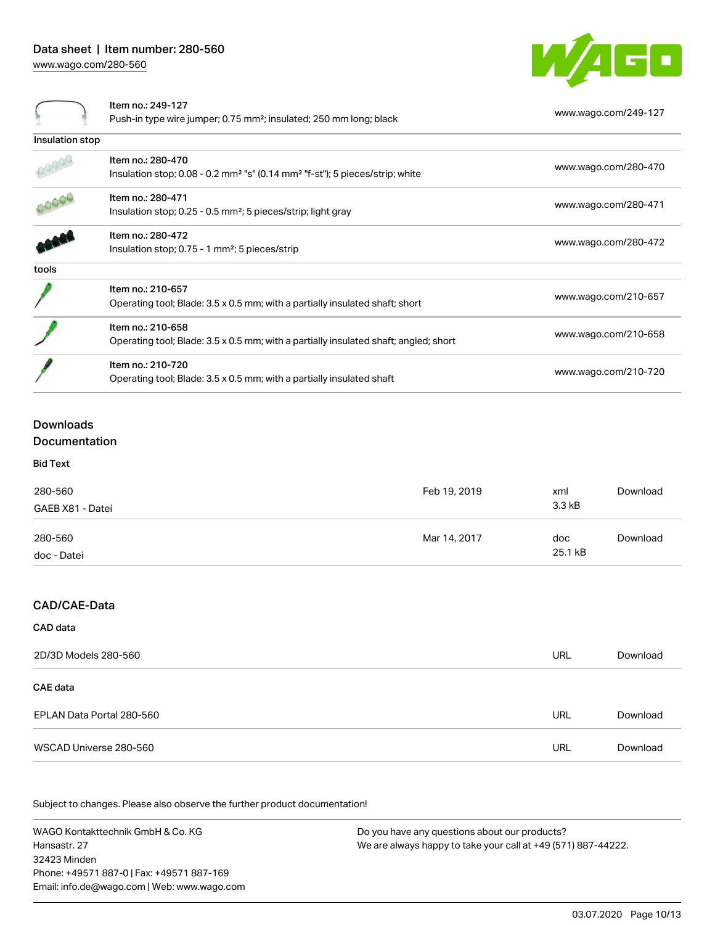

| Item no.: 249-127 |  |
|-------------------|--|
|-------------------|--|

|                 | Push-in type wire jumper; 0.75 mm <sup>2</sup> ; insulated; 250 mm long; black                                                | www.wago.com/249-127 |
|-----------------|-------------------------------------------------------------------------------------------------------------------------------|----------------------|
| Insulation stop |                                                                                                                               |                      |
|                 | Item no.: 280-470<br>Insulation stop; $0.08 - 0.2$ mm <sup>2</sup> "s" $(0.14$ mm <sup>2</sup> "f-st"); 5 pieces/strip; white | www.wago.com/280-470 |
|                 | Item no.: 280-471<br>Insulation stop; 0.25 - 0.5 mm <sup>2</sup> ; 5 pieces/strip; light gray                                 | www.wago.com/280-471 |
|                 | Item no.: 280-472<br>Insulation stop; 0.75 - 1 mm <sup>2</sup> ; 5 pieces/strip                                               | www.wago.com/280-472 |
| tools           |                                                                                                                               |                      |
|                 | Item no.: 210-657<br>Operating tool; Blade: 3.5 x 0.5 mm; with a partially insulated shaft; short                             | www.wago.com/210-657 |
|                 | Item no.: 210-658<br>Operating tool; Blade: 3.5 x 0.5 mm; with a partially insulated shaft; angled; short                     | www.wago.com/210-658 |
|                 | Item no.: 210-720<br>Operating tool; Blade: 3.5 x 0.5 mm; with a partially insulated shaft                                    | www.wago.com/210-720 |

## Downloads

## Documentation

Bid Text

| 280-560<br>GAEB X81 - Datei | Feb 19, 2019 | xml<br>3.3 kB  | Download |
|-----------------------------|--------------|----------------|----------|
| 280-560<br>doc - Datei      | Mar 14, 2017 | doc<br>25.1 kB | Download |

## CAD/CAE-Data

## CAD data

| 2D/3D Models 280-560      | <b>URL</b> | Download |
|---------------------------|------------|----------|
| <b>CAE</b> data           |            |          |
| EPLAN Data Portal 280-560 | <b>URL</b> | Download |
| WSCAD Universe 280-560    | URL        | Download |

Subject to changes. Please also observe the further product documentation!

WAGO Kontakttechnik GmbH & Co. KG Hansastr. 27 32423 Minden Phone: +49571 887-0 | Fax: +49571 887-169 Email: info.de@wago.com | Web: www.wago.com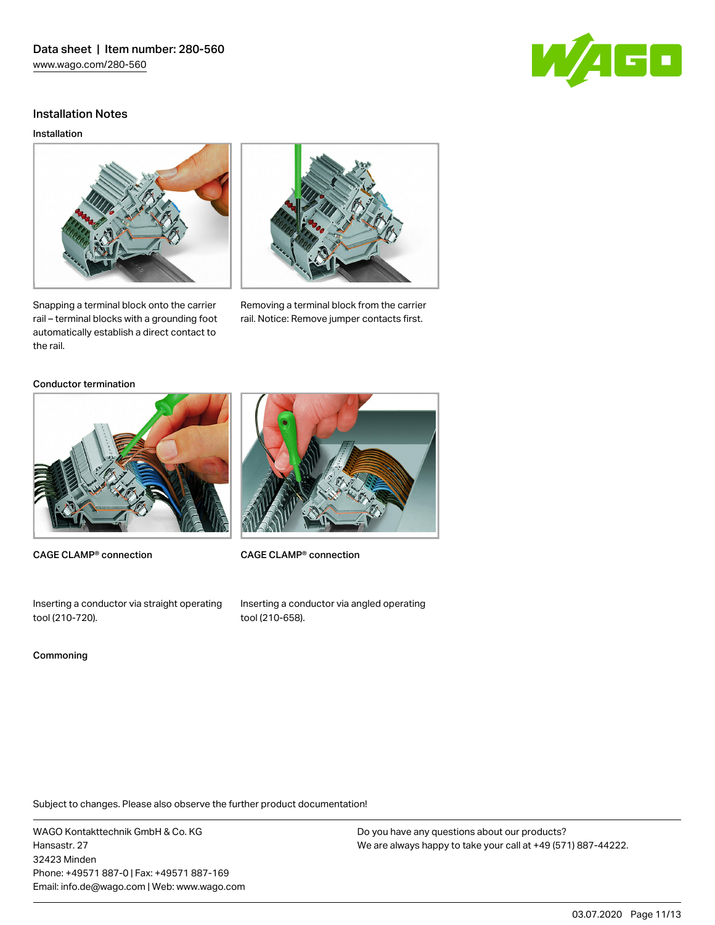

## Installation Notes

#### Installation



Snapping a terminal block onto the carrier rail – terminal blocks with a grounding foot automatically establish a direct contact to the rail.



Removing a terminal block from the carrier rail. Notice: Remove jumper contacts first.

### Conductor termination



CAGE CLAMP® connection



CAGE CLAMP® connection

Inserting a conductor via straight operating tool (210‑720).

#### Commoning

Inserting a conductor via angled operating tool (210‑658).

Subject to changes. Please also observe the further product documentation!

WAGO Kontakttechnik GmbH & Co. KG Hansastr. 27 32423 Minden Phone: +49571 887-0 | Fax: +49571 887-169 Email: info.de@wago.com | Web: www.wago.com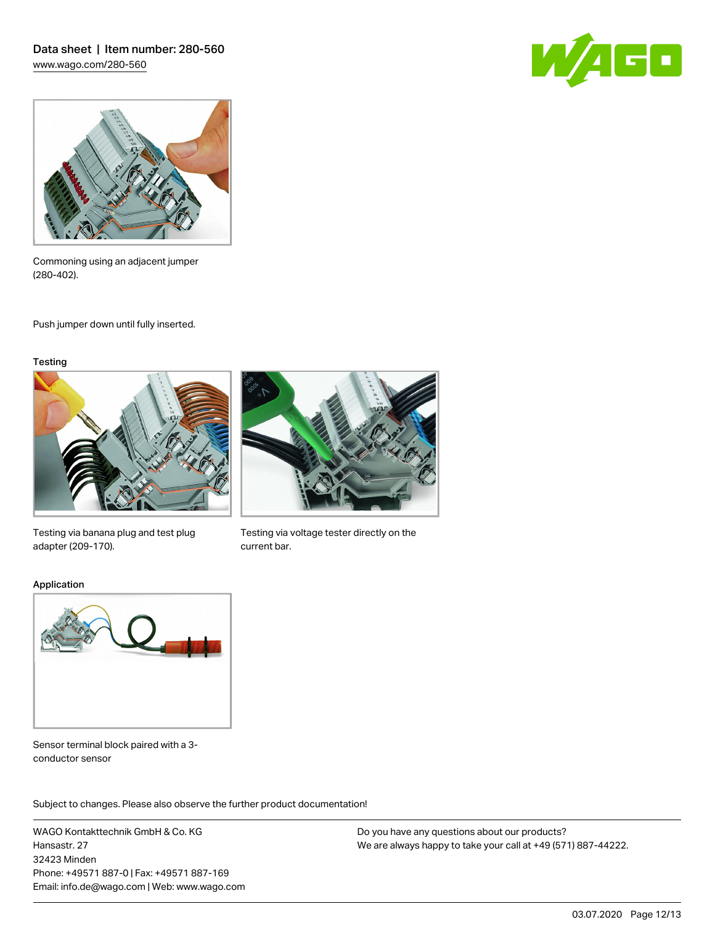



Commoning using an adjacent jumper (280‑402).

Push jumper down until fully inserted.

#### **Testing**



Testing via banana plug and test plug adapter (209‑170).



Testing via voltage tester directly on the current bar.

Application



Sensor terminal block paired with a 3 conductor sensor

.<br>Subject to changes. Please also observe the further product documentation!

WAGO Kontakttechnik GmbH & Co. KG Hansastr. 27 32423 Minden Phone: +49571 887-0 | Fax: +49571 887-169 Email: info.de@wago.com | Web: www.wago.com